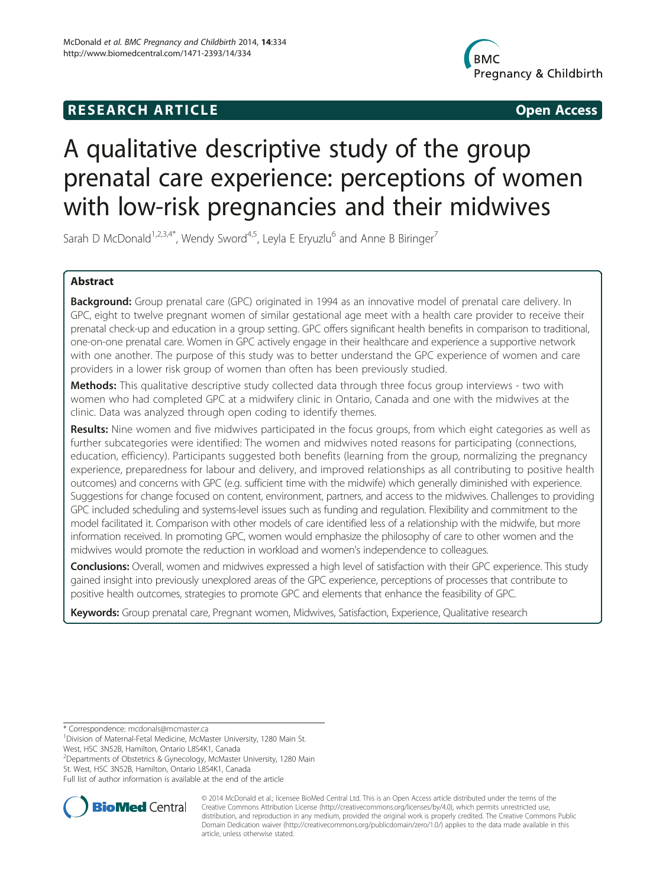## **RESEARCH ARTICLE Example 2014 12:30 The SEAR CHA RESEARCH ARTICLE**



# A qualitative descriptive study of the group prenatal care experience: perceptions of women with low-risk pregnancies and their midwives

Sarah D McDonald<sup>1,2,3,4\*</sup>, Wendy Sword<sup>4,5</sup>, Leyla E Eryuzlu<sup>6</sup> and Anne B Biringer<sup>7</sup>

## Abstract

Background: Group prenatal care (GPC) originated in 1994 as an innovative model of prenatal care delivery. In GPC, eight to twelve pregnant women of similar gestational age meet with a health care provider to receive their prenatal check-up and education in a group setting. GPC offers significant health benefits in comparison to traditional, one-on-one prenatal care. Women in GPC actively engage in their healthcare and experience a supportive network with one another. The purpose of this study was to better understand the GPC experience of women and care providers in a lower risk group of women than often has been previously studied.

Methods: This qualitative descriptive study collected data through three focus group interviews - two with women who had completed GPC at a midwifery clinic in Ontario, Canada and one with the midwives at the clinic. Data was analyzed through open coding to identify themes.

Results: Nine women and five midwives participated in the focus groups, from which eight categories as well as further subcategories were identified: The women and midwives noted reasons for participating (connections, education, efficiency). Participants suggested both benefits (learning from the group, normalizing the pregnancy experience, preparedness for labour and delivery, and improved relationships as all contributing to positive health outcomes) and concerns with GPC (e.g. sufficient time with the midwife) which generally diminished with experience. Suggestions for change focused on content, environment, partners, and access to the midwives. Challenges to providing GPC included scheduling and systems-level issues such as funding and regulation. Flexibility and commitment to the model facilitated it. Comparison with other models of care identified less of a relationship with the midwife, but more information received. In promoting GPC, women would emphasize the philosophy of care to other women and the midwives would promote the reduction in workload and women's independence to colleagues.

Conclusions: Overall, women and midwives expressed a high level of satisfaction with their GPC experience. This study gained insight into previously unexplored areas of the GPC experience, perceptions of processes that contribute to positive health outcomes, strategies to promote GPC and elements that enhance the feasibility of GPC.

Keywords: Group prenatal care, Pregnant women, Midwives, Satisfaction, Experience, Qualitative research

\* Correspondence: [mcdonals@mcmaster.ca](mailto:mcdonals@mcmaster.ca) <sup>1</sup>

<sup>2</sup>Departments of Obstetrics & Gynecology, McMaster University, 1280 Main St. West, HSC 3N52B, Hamilton, Ontario L8S4K1, Canada

Full list of author information is available at the end of the article



© 2014 McDonald et al.; licensee BioMed Central Ltd. This is an Open Access article distributed under the terms of the Creative Commons Attribution License (<http://creativecommons.org/licenses/by/4.0>), which permits unrestricted use, distribution, and reproduction in any medium, provided the original work is properly credited. The Creative Commons Public Domain Dedication waiver [\(http://creativecommons.org/publicdomain/zero/1.0/\)](http://creativecommons.org/publicdomain/zero/1.0/) applies to the data made available in this article, unless otherwise stated.

<sup>&</sup>lt;sup>1</sup> Division of Maternal-Fetal Medicine, McMaster University, 1280 Main St. West, HSC 3N52B, Hamilton, Ontario L8S4K1, Canada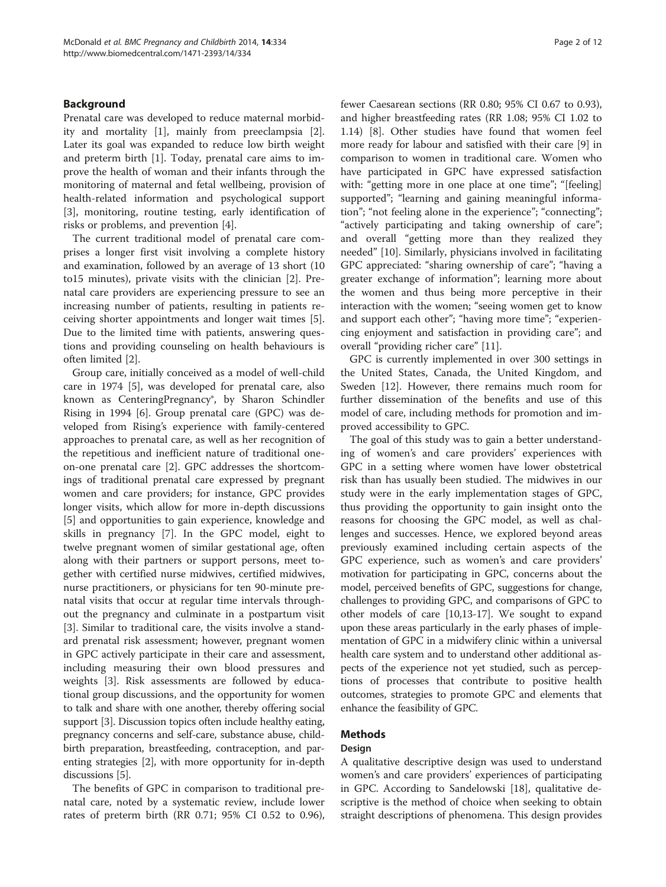## Background

Prenatal care was developed to reduce maternal morbidity and mortality [\[1\]](#page-10-0), mainly from preeclampsia [\[2](#page-11-0)]. Later its goal was expanded to reduce low birth weight and preterm birth [[1](#page-10-0)]. Today, prenatal care aims to improve the health of woman and their infants through the monitoring of maternal and fetal wellbeing, provision of health-related information and psychological support [[3\]](#page-11-0), monitoring, routine testing, early identification of risks or problems, and prevention [[4](#page-11-0)].

The current traditional model of prenatal care comprises a longer first visit involving a complete history and examination, followed by an average of 13 short (10 to15 minutes), private visits with the clinician [[2\]](#page-11-0). Prenatal care providers are experiencing pressure to see an increasing number of patients, resulting in patients receiving shorter appointments and longer wait times [\[5](#page-11-0)]. Due to the limited time with patients, answering questions and providing counseling on health behaviours is often limited [\[2](#page-11-0)].

Group care, initially conceived as a model of well-child care in 1974 [[5\]](#page-11-0), was developed for prenatal care, also known as CenteringPregnancy®, by Sharon Schindler Rising in 1994 [[6\]](#page-11-0). Group prenatal care (GPC) was developed from Rising's experience with family-centered approaches to prenatal care, as well as her recognition of the repetitious and inefficient nature of traditional oneon-one prenatal care [[2\]](#page-11-0). GPC addresses the shortcomings of traditional prenatal care expressed by pregnant women and care providers; for instance, GPC provides longer visits, which allow for more in-depth discussions [[5\]](#page-11-0) and opportunities to gain experience, knowledge and skills in pregnancy [[7\]](#page-11-0). In the GPC model, eight to twelve pregnant women of similar gestational age, often along with their partners or support persons, meet together with certified nurse midwives, certified midwives, nurse practitioners, or physicians for ten 90-minute prenatal visits that occur at regular time intervals throughout the pregnancy and culminate in a postpartum visit [[3\]](#page-11-0). Similar to traditional care, the visits involve a standard prenatal risk assessment; however, pregnant women in GPC actively participate in their care and assessment, including measuring their own blood pressures and weights [\[3](#page-11-0)]. Risk assessments are followed by educational group discussions, and the opportunity for women to talk and share with one another, thereby offering social support [\[3](#page-11-0)]. Discussion topics often include healthy eating, pregnancy concerns and self-care, substance abuse, childbirth preparation, breastfeeding, contraception, and parenting strategies [[2\]](#page-11-0), with more opportunity for in-depth discussions [\[5](#page-11-0)].

The benefits of GPC in comparison to traditional prenatal care, noted by a systematic review, include lower rates of preterm birth (RR 0.71; 95% CI 0.52 to 0.96), fewer Caesarean sections (RR 0.80; 95% CI 0.67 to 0.93), and higher breastfeeding rates (RR 1.08; 95% CI 1.02 to 1.14) [[8\]](#page-11-0). Other studies have found that women feel more ready for labour and satisfied with their care [\[9](#page-11-0)] in comparison to women in traditional care. Women who have participated in GPC have expressed satisfaction with: "getting more in one place at one time"; "[feeling] supported"; "learning and gaining meaningful information"; "not feeling alone in the experience"; "connecting"; "actively participating and taking ownership of care"; and overall "getting more than they realized they needed" [[10](#page-11-0)]. Similarly, physicians involved in facilitating GPC appreciated: "sharing ownership of care"; "having a greater exchange of information"; learning more about the women and thus being more perceptive in their interaction with the women; "seeing women get to know and support each other"; "having more time"; "experiencing enjoyment and satisfaction in providing care"; and overall "providing richer care" [[11\]](#page-11-0).

GPC is currently implemented in over 300 settings in the United States, Canada, the United Kingdom, and Sweden [\[12](#page-11-0)]. However, there remains much room for further dissemination of the benefits and use of this model of care, including methods for promotion and improved accessibility to GPC.

The goal of this study was to gain a better understanding of women's and care providers' experiences with GPC in a setting where women have lower obstetrical risk than has usually been studied. The midwives in our study were in the early implementation stages of GPC, thus providing the opportunity to gain insight onto the reasons for choosing the GPC model, as well as challenges and successes. Hence, we explored beyond areas previously examined including certain aspects of the GPC experience, such as women's and care providers' motivation for participating in GPC, concerns about the model, perceived benefits of GPC, suggestions for change, challenges to providing GPC, and comparisons of GPC to other models of care [\[10,13-17\]](#page-11-0). We sought to expand upon these areas particularly in the early phases of implementation of GPC in a midwifery clinic within a universal health care system and to understand other additional aspects of the experience not yet studied, such as perceptions of processes that contribute to positive health outcomes, strategies to promote GPC and elements that enhance the feasibility of GPC.

## Methods

## Design

A qualitative descriptive design was used to understand women's and care providers' experiences of participating in GPC. According to Sandelowski [[18](#page-11-0)], qualitative descriptive is the method of choice when seeking to obtain straight descriptions of phenomena. This design provides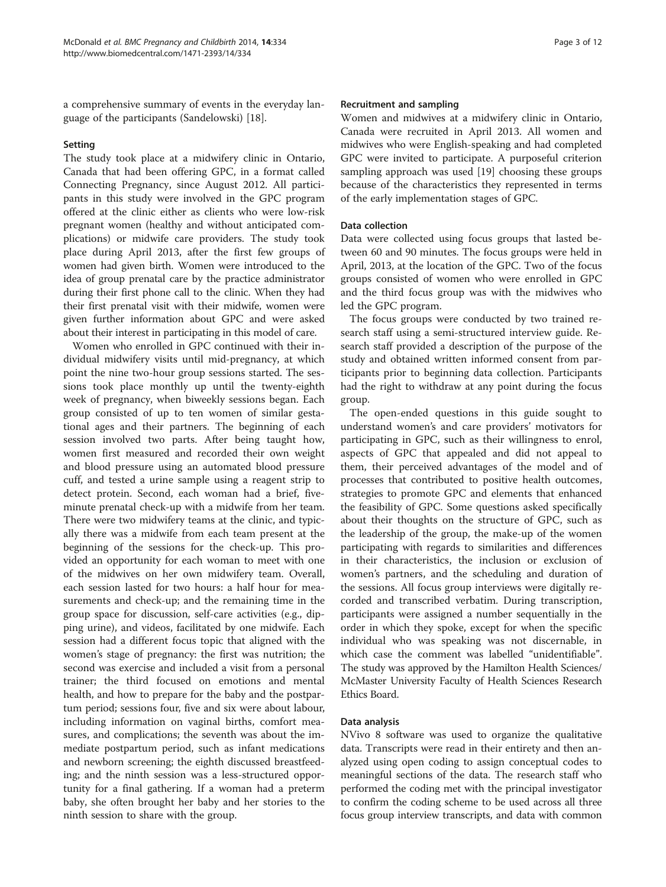a comprehensive summary of events in the everyday language of the participants (Sandelowski) [[18](#page-11-0)].

## Setting

The study took place at a midwifery clinic in Ontario, Canada that had been offering GPC, in a format called Connecting Pregnancy, since August 2012. All participants in this study were involved in the GPC program offered at the clinic either as clients who were low-risk pregnant women (healthy and without anticipated complications) or midwife care providers. The study took place during April 2013, after the first few groups of women had given birth. Women were introduced to the idea of group prenatal care by the practice administrator during their first phone call to the clinic. When they had their first prenatal visit with their midwife, women were given further information about GPC and were asked about their interest in participating in this model of care.

Women who enrolled in GPC continued with their individual midwifery visits until mid-pregnancy, at which point the nine two-hour group sessions started. The sessions took place monthly up until the twenty-eighth week of pregnancy, when biweekly sessions began. Each group consisted of up to ten women of similar gestational ages and their partners. The beginning of each session involved two parts. After being taught how, women first measured and recorded their own weight and blood pressure using an automated blood pressure cuff, and tested a urine sample using a reagent strip to detect protein. Second, each woman had a brief, fiveminute prenatal check-up with a midwife from her team. There were two midwifery teams at the clinic, and typically there was a midwife from each team present at the beginning of the sessions for the check-up. This provided an opportunity for each woman to meet with one of the midwives on her own midwifery team. Overall, each session lasted for two hours: a half hour for measurements and check-up; and the remaining time in the group space for discussion, self-care activities (e.g., dipping urine), and videos, facilitated by one midwife. Each session had a different focus topic that aligned with the women's stage of pregnancy: the first was nutrition; the second was exercise and included a visit from a personal trainer; the third focused on emotions and mental health, and how to prepare for the baby and the postpartum period; sessions four, five and six were about labour, including information on vaginal births, comfort measures, and complications; the seventh was about the immediate postpartum period, such as infant medications and newborn screening; the eighth discussed breastfeeding; and the ninth session was a less-structured opportunity for a final gathering. If a woman had a preterm baby, she often brought her baby and her stories to the ninth session to share with the group.

#### Recruitment and sampling

Women and midwives at a midwifery clinic in Ontario, Canada were recruited in April 2013. All women and midwives who were English-speaking and had completed GPC were invited to participate. A purposeful criterion sampling approach was used [[19\]](#page-11-0) choosing these groups because of the characteristics they represented in terms of the early implementation stages of GPC.

## Data collection

Data were collected using focus groups that lasted between 60 and 90 minutes. The focus groups were held in April, 2013, at the location of the GPC. Two of the focus groups consisted of women who were enrolled in GPC and the third focus group was with the midwives who led the GPC program.

The focus groups were conducted by two trained research staff using a semi-structured interview guide. Research staff provided a description of the purpose of the study and obtained written informed consent from participants prior to beginning data collection. Participants had the right to withdraw at any point during the focus group.

The open-ended questions in this guide sought to understand women's and care providers' motivators for participating in GPC, such as their willingness to enrol, aspects of GPC that appealed and did not appeal to them, their perceived advantages of the model and of processes that contributed to positive health outcomes, strategies to promote GPC and elements that enhanced the feasibility of GPC. Some questions asked specifically about their thoughts on the structure of GPC, such as the leadership of the group, the make-up of the women participating with regards to similarities and differences in their characteristics, the inclusion or exclusion of women's partners, and the scheduling and duration of the sessions. All focus group interviews were digitally recorded and transcribed verbatim. During transcription, participants were assigned a number sequentially in the order in which they spoke, except for when the specific individual who was speaking was not discernable, in which case the comment was labelled "unidentifiable". The study was approved by the Hamilton Health Sciences/ McMaster University Faculty of Health Sciences Research Ethics Board.

## Data analysis

NVivo 8 software was used to organize the qualitative data. Transcripts were read in their entirety and then analyzed using open coding to assign conceptual codes to meaningful sections of the data. The research staff who performed the coding met with the principal investigator to confirm the coding scheme to be used across all three focus group interview transcripts, and data with common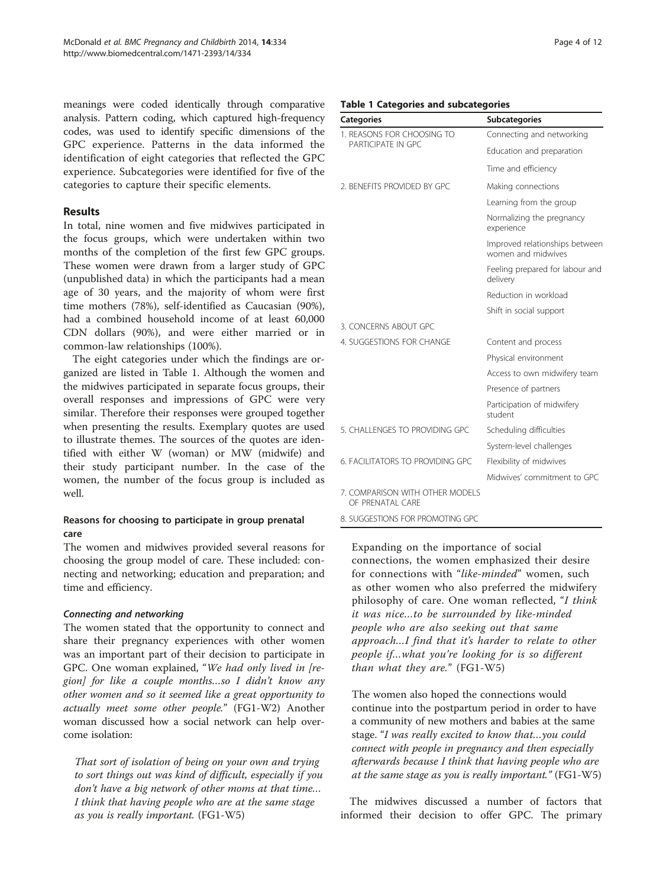meanings were coded identically through comparative analysis. Pattern coding, which captured high-frequency codes, was used to identify specific dimensions of the GPC experience. Patterns in the data informed the identification of eight categories that reflected the GPC experience. Subcategories were identified for five of the categories to capture their specific elements.

## Results

In total, nine women and five midwives participated in the focus groups, which were undertaken within two months of the completion of the first few GPC groups. These women were drawn from a larger study of GPC (unpublished data) in which the participants had a mean age of 30 years, and the majority of whom were first time mothers (78%), self-identified as Caucasian (90%), had a combined household income of at least 60,000 CDN dollars (90%), and were either married or in common-law relationships (100%).

The eight categories under which the findings are organized are listed in Table 1. Although the women and the midwives participated in separate focus groups, their overall responses and impressions of GPC were very similar. Therefore their responses were grouped together when presenting the results. Exemplary quotes are used to illustrate themes. The sources of the quotes are identified with either W (woman) or MW (midwife) and their study participant number. In the case of the women, the number of the focus group is included as well.

## Reasons for choosing to participate in group prenatal care

The women and midwives provided several reasons for choosing the group model of care. These included: connecting and networking; education and preparation; and time and efficiency.

## Connecting and networking

The women stated that the opportunity to connect and share their pregnancy experiences with other women was an important part of their decision to participate in GPC. One woman explained, "We had only lived in [region] for like a couple months…so I didn't know any other women and so it seemed like a great opportunity to actually meet some other people." (FG1-W2) Another woman discussed how a social network can help overcome isolation:

That sort of isolation of being on your own and trying to sort things out was kind of difficult, especially if you don't have a big network of other moms at that time… I think that having people who are at the same stage as you is really important. (FG1-W5)

## Table 1 Categories and subcategories

| <b>Categories</b>                                   | <b>Subcategories</b>                                 |
|-----------------------------------------------------|------------------------------------------------------|
| 1. REASONS FOR CHOOSING TO<br>PARTICIPATE IN GPC    | Connecting and networking                            |
|                                                     | Education and preparation                            |
|                                                     | Time and efficiency                                  |
| 2. BENEFITS PROVIDED BY GPC                         | Making connections                                   |
|                                                     | Learning from the group                              |
|                                                     | Normalizing the pregnancy<br>experience              |
|                                                     | Improved relationships between<br>women and midwives |
|                                                     | Feeling prepared for labour and<br>delivery          |
|                                                     | Reduction in workload                                |
|                                                     | Shift in social support                              |
| 3. CONCERNS ABOUT GPC                               |                                                      |
| 4. SUGGESTIONS FOR CHANGE                           | Content and process                                  |
|                                                     | Physical environment                                 |
|                                                     | Access to own midwifery team                         |
|                                                     | Presence of partners                                 |
|                                                     | Participation of midwifery<br>student                |
| 5. CHALLENGES TO PROVIDING GPC                      | Scheduling difficulties                              |
|                                                     | System-level challenges                              |
| 6. FACILITATORS TO PROVIDING GPC                    | Flexibility of midwives                              |
|                                                     | Midwives' commitment to GPC                          |
| 7. COMPARISON WITH OTHER MODELS<br>OF PRENATAL CARE |                                                      |
| 8. SUGGESTIONS FOR PROMOTING GPC                    |                                                      |

Expanding on the importance of social connections, the women emphasized their desire for connections with "like-minded" women, such as other women who also preferred the midwifery philosophy of care. One woman reflected, "I think it was nice…to be surrounded by like-minded people who are also seeking out that same approach…I find that it's harder to relate to other people if…what you're looking for is so different than what they are." (FG1-W5)

The women also hoped the connections would continue into the postpartum period in order to have a community of new mothers and babies at the same stage. "I was really excited to know that…you could connect with people in pregnancy and then especially afterwards because I think that having people who are at the same stage as you is really important." (FG1-W5)

The midwives discussed a number of factors that informed their decision to offer GPC. The primary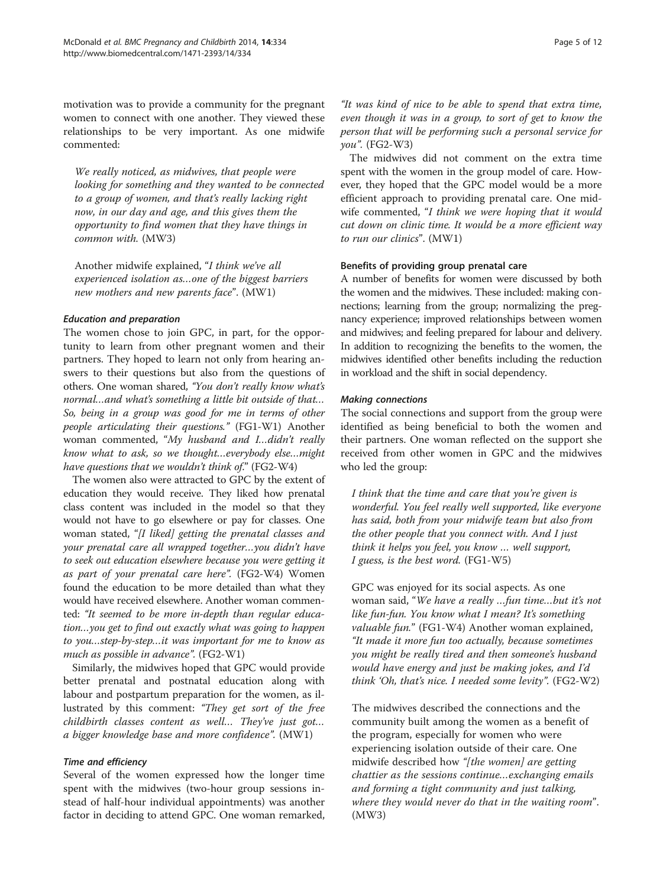motivation was to provide a community for the pregnant women to connect with one another. They viewed these relationships to be very important. As one midwife commented:

We really noticed, as midwives, that people were looking for something and they wanted to be connected to a group of women, and that's really lacking right now, in our day and age, and this gives them the opportunity to find women that they have things in common with. (MW3)

Another midwife explained, "I think we've all experienced isolation as…one of the biggest barriers new mothers and new parents face". (MW1)

## Education and preparation

The women chose to join GPC, in part, for the opportunity to learn from other pregnant women and their partners. They hoped to learn not only from hearing answers to their questions but also from the questions of others. One woman shared, "You don't really know what's normal…and what's something a little bit outside of that… So, being in a group was good for me in terms of other people articulating their questions." (FG1-W1) Another woman commented, "My husband and I…didn't really know what to ask, so we thought…everybody else…might have questions that we wouldn't think of." (FG2-W4)

The women also were attracted to GPC by the extent of education they would receive. They liked how prenatal class content was included in the model so that they would not have to go elsewhere or pay for classes. One woman stated, "[I liked] getting the prenatal classes and your prenatal care all wrapped together…you didn't have to seek out education elsewhere because you were getting it as part of your prenatal care here". (FG2-W4) Women found the education to be more detailed than what they would have received elsewhere. Another woman commented: "It seemed to be more in-depth than regular education…you get to find out exactly what was going to happen to you…step-by-step…it was important for me to know as much as possible in advance". (FG2-W1)

Similarly, the midwives hoped that GPC would provide better prenatal and postnatal education along with labour and postpartum preparation for the women, as illustrated by this comment: "They get sort of the free childbirth classes content as well… They've just got… a bigger knowledge base and more confidence". (MW1)

## Time and efficiency

Several of the women expressed how the longer time spent with the midwives (two-hour group sessions instead of half-hour individual appointments) was another factor in deciding to attend GPC. One woman remarked,

"It was kind of nice to be able to spend that extra time, even though it was in a group, to sort of get to know the person that will be performing such a personal service for you". (FG2-W3)

The midwives did not comment on the extra time spent with the women in the group model of care. However, they hoped that the GPC model would be a more efficient approach to providing prenatal care. One midwife commented, "I think we were hoping that it would cut down on clinic time. It would be a more efficient way to run our clinics". (MW1)

## Benefits of providing group prenatal care

A number of benefits for women were discussed by both the women and the midwives. These included: making connections; learning from the group; normalizing the pregnancy experience; improved relationships between women and midwives; and feeling prepared for labour and delivery. In addition to recognizing the benefits to the women, the midwives identified other benefits including the reduction in workload and the shift in social dependency.

#### Making connections

The social connections and support from the group were identified as being beneficial to both the women and their partners. One woman reflected on the support she received from other women in GPC and the midwives who led the group:

I think that the time and care that you're given is wonderful. You feel really well supported, like everyone has said, both from your midwife team but also from the other people that you connect with. And I just think it helps you feel, you know … well support, I guess, is the best word. (FG1-W5)

GPC was enjoyed for its social aspects. As one woman said, "We have a really …fun time…but it's not like fun-fun. You know what I mean? It's something valuable fun." (FG1-W4) Another woman explained, "It made it more fun too actually, because sometimes you might be really tired and then someone's husband would have energy and just be making jokes, and I'd think 'Oh, that's nice. I needed some levity". (FG2-W2)

The midwives described the connections and the community built among the women as a benefit of the program, especially for women who were experiencing isolation outside of their care. One midwife described how "[the women] are getting chattier as the sessions continue…exchanging emails and forming a tight community and just talking, where they would never do that in the waiting room". (MW3)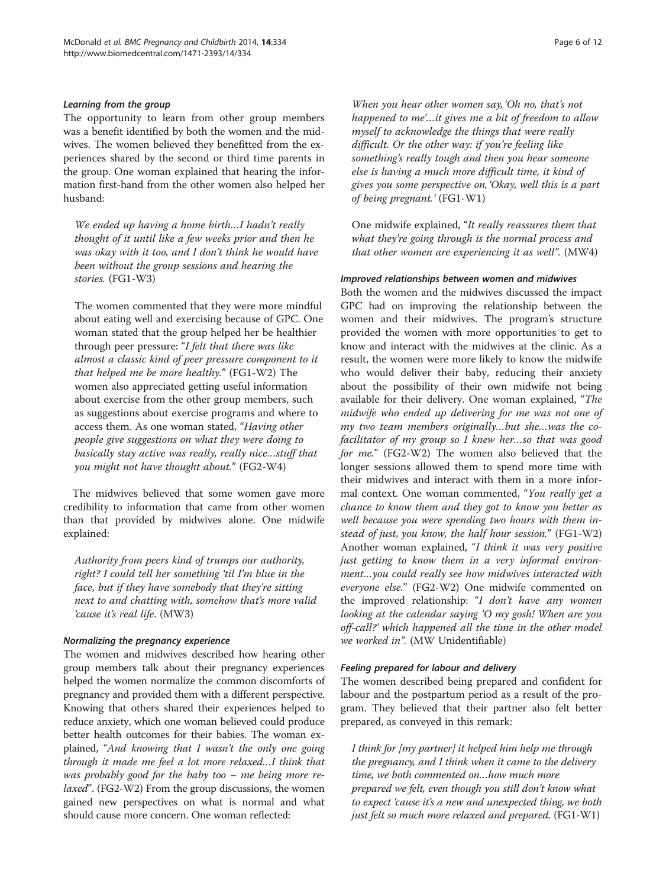## Learning from the group

The opportunity to learn from other group members was a benefit identified by both the women and the midwives. The women believed they benefitted from the experiences shared by the second or third time parents in the group. One woman explained that hearing the information first-hand from the other women also helped her husband:

We ended up having a home birth…I hadn't really thought of it until like a few weeks prior and then he was okay with it too, and I don't think he would have been without the group sessions and hearing the stories. (FG1-W3)

The women commented that they were more mindful about eating well and exercising because of GPC. One woman stated that the group helped her be healthier through peer pressure: "I felt that there was like almost a classic kind of peer pressure component to it that helped me be more healthy." (FG1-W2) The women also appreciated getting useful information about exercise from the other group members, such as suggestions about exercise programs and where to access them. As one woman stated, "Having other people give suggestions on what they were doing to basically stay active was really, really nice…stuff that you might not have thought about." (FG2-W4)

The midwives believed that some women gave more credibility to information that came from other women than that provided by midwives alone. One midwife explained:

Authority from peers kind of trumps our authority, right? I could tell her something 'til I'm blue in the face, but if they have somebody that they're sitting next to and chatting with, somehow that's more valid 'cause it's real life. (MW3)

#### Normalizing the pregnancy experience

The women and midwives described how hearing other group members talk about their pregnancy experiences helped the women normalize the common discomforts of pregnancy and provided them with a different perspective. Knowing that others shared their experiences helped to reduce anxiety, which one woman believed could produce better health outcomes for their babies. The woman explained, "And knowing that I wasn't the only one going through it made me feel a lot more relaxed…I think that was probably good for the baby too – me being more re*laxed*". (FG2-W2) From the group discussions, the women gained new perspectives on what is normal and what should cause more concern. One woman reflected:

else is having a much more difficult time, it kind of gives you some perspective on, 'Okay, well this is a part of being pregnant.' (FG1-W1)

One midwife explained, "It really reassures them that what they're going through is the normal process and that other women are experiencing it as well". (MW4)

## Improved relationships between women and midwives

Both the women and the midwives discussed the impact GPC had on improving the relationship between the women and their midwives. The program's structure provided the women with more opportunities to get to know and interact with the midwives at the clinic. As a result, the women were more likely to know the midwife who would deliver their baby, reducing their anxiety about the possibility of their own midwife not being available for their delivery. One woman explained, "The midwife who ended up delivering for me was not one of my two team members originally…but she…was the cofacilitator of my group so I knew her…so that was good for me." (FG2-W2) The women also believed that the longer sessions allowed them to spend more time with their midwives and interact with them in a more informal context. One woman commented, "You really get a chance to know them and they got to know you better as well because you were spending two hours with them instead of just, you know, the half hour session." (FG1-W2) Another woman explained, "I think it was very positive just getting to know them in a very informal environment…you could really see how midwives interacted with everyone else." (FG2-W2) One midwife commented on the improved relationship: "I don't have any women looking at the calendar saying 'O my gosh! When are you off-call?' which happened all the time in the other model we worked in". (MW Unidentifiable)

#### Feeling prepared for labour and delivery

The women described being prepared and confident for labour and the postpartum period as a result of the program. They believed that their partner also felt better prepared, as conveyed in this remark:

I think for [my partner] it helped him help me through the pregnancy, and I think when it came to the delivery time, we both commented on…how much more prepared we felt, even though you still don't know what to expect 'cause it's a new and unexpected thing, we both just felt so much more relaxed and prepared. (FG1-W1)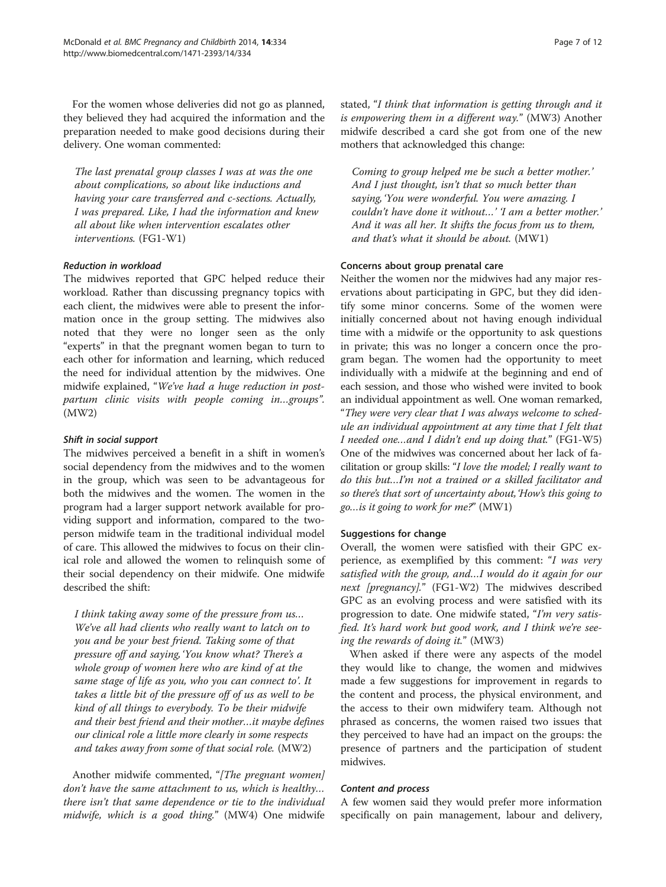For the women whose deliveries did not go as planned, they believed they had acquired the information and the preparation needed to make good decisions during their delivery. One woman commented:

The last prenatal group classes I was at was the one about complications, so about like inductions and having your care transferred and c-sections. Actually, I was prepared. Like, I had the information and knew all about like when intervention escalates other interventions. (FG1-W1)

## Reduction in workload

The midwives reported that GPC helped reduce their workload. Rather than discussing pregnancy topics with each client, the midwives were able to present the information once in the group setting. The midwives also noted that they were no longer seen as the only "experts" in that the pregnant women began to turn to each other for information and learning, which reduced the need for individual attention by the midwives. One midwife explained, "We've had a huge reduction in postpartum clinic visits with people coming in…groups". (MW2)

## Shift in social support

The midwives perceived a benefit in a shift in women's social dependency from the midwives and to the women in the group, which was seen to be advantageous for both the midwives and the women. The women in the program had a larger support network available for providing support and information, compared to the twoperson midwife team in the traditional individual model of care. This allowed the midwives to focus on their clinical role and allowed the women to relinquish some of their social dependency on their midwife. One midwife described the shift:

I think taking away some of the pressure from us… We've all had clients who really want to latch on to you and be your best friend. Taking some of that pressure off and saying, 'You know what? There's a whole group of women here who are kind of at the same stage of life as you, who you can connect to'. It takes a little bit of the pressure off of us as well to be kind of all things to everybody. To be their midwife and their best friend and their mother…it maybe defines our clinical role a little more clearly in some respects and takes away from some of that social role. (MW2)

Another midwife commented, "[The pregnant women] don't have the same attachment to us, which is healthy… there isn't that same dependence or tie to the individual midwife, which is a good thing." (MW4) One midwife

stated, "I think that information is getting through and it is empowering them in a different way." (MW3) Another midwife described a card she got from one of the new mothers that acknowledged this change:

Coming to group helped me be such a better mother.' And I just thought, isn't that so much better than saying, 'You were wonderful. You were amazing. I couldn't have done it without…' 'I am a better mother.' And it was all her. It shifts the focus from us to them, and that's what it should be about. (MW1)

## Concerns about group prenatal care

Neither the women nor the midwives had any major reservations about participating in GPC, but they did identify some minor concerns. Some of the women were initially concerned about not having enough individual time with a midwife or the opportunity to ask questions in private; this was no longer a concern once the program began. The women had the opportunity to meet individually with a midwife at the beginning and end of each session, and those who wished were invited to book an individual appointment as well. One woman remarked, "They were very clear that I was always welcome to schedule an individual appointment at any time that I felt that I needed one…and I didn't end up doing that." (FG1-W5) One of the midwives was concerned about her lack of facilitation or group skills: "I love the model; I really want to do this but…I'm not a trained or a skilled facilitator and so there's that sort of uncertainty about,'How's this going to go…is it going to work for me?" (MW1)

## Suggestions for change

Overall, the women were satisfied with their GPC experience, as exemplified by this comment: "I was very satisfied with the group, and…I would do it again for our next [pregnancy]." (FG1-W2) The midwives described GPC as an evolving process and were satisfied with its progression to date. One midwife stated, "I'm very satisfied. It's hard work but good work, and I think we're seeing the rewards of doing it." (MW3)

When asked if there were any aspects of the model they would like to change, the women and midwives made a few suggestions for improvement in regards to the content and process, the physical environment, and the access to their own midwifery team. Although not phrased as concerns, the women raised two issues that they perceived to have had an impact on the groups: the presence of partners and the participation of student midwives.

## Content and process

A few women said they would prefer more information specifically on pain management, labour and delivery,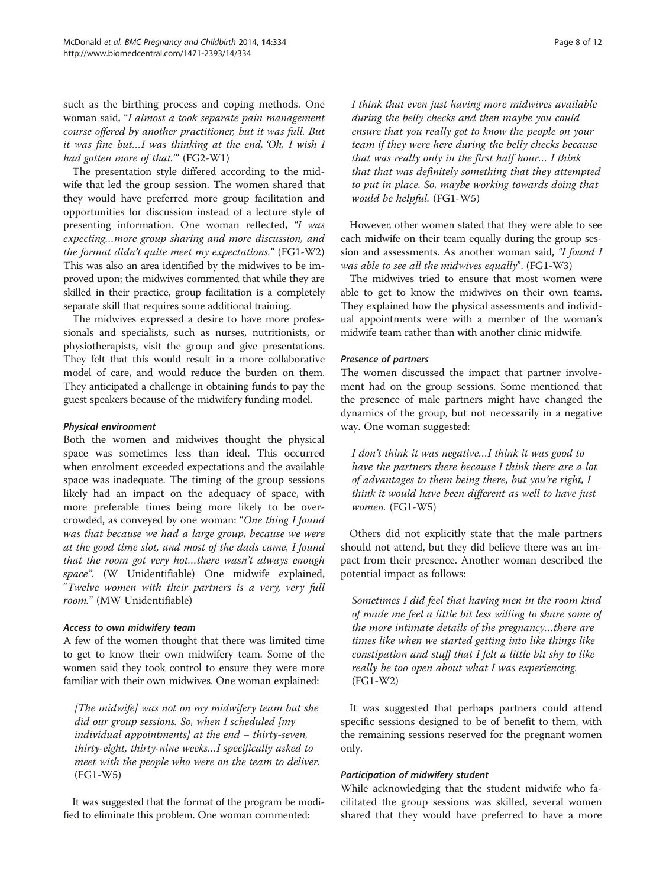such as the birthing process and coping methods. One woman said, "I almost a took separate pain management course offered by another practitioner, but it was full. But it was fine but…I was thinking at the end, 'Oh, I wish I had gotten more of that."" (FG2-W1)

The presentation style differed according to the midwife that led the group session. The women shared that they would have preferred more group facilitation and opportunities for discussion instead of a lecture style of presenting information. One woman reflected, "I was expecting…more group sharing and more discussion, and the format didn't quite meet my expectations." (FG1-W2) This was also an area identified by the midwives to be improved upon; the midwives commented that while they are skilled in their practice, group facilitation is a completely separate skill that requires some additional training.

The midwives expressed a desire to have more professionals and specialists, such as nurses, nutritionists, or physiotherapists, visit the group and give presentations. They felt that this would result in a more collaborative model of care, and would reduce the burden on them. They anticipated a challenge in obtaining funds to pay the guest speakers because of the midwifery funding model.

## Physical environment

Both the women and midwives thought the physical space was sometimes less than ideal. This occurred when enrolment exceeded expectations and the available space was inadequate. The timing of the group sessions likely had an impact on the adequacy of space, with more preferable times being more likely to be overcrowded, as conveyed by one woman: "One thing I found was that because we had a large group, because we were at the good time slot, and most of the dads came, I found that the room got very hot…there wasn't always enough space". (W Unidentifiable) One midwife explained, "Twelve women with their partners is a very, very full room." (MW Unidentifiable)

## Access to own midwifery team

A few of the women thought that there was limited time to get to know their own midwifery team. Some of the women said they took control to ensure they were more familiar with their own midwives. One woman explained:

[The midwife] was not on my midwifery team but she did our group sessions. So, when I scheduled [my individual appointments] at the end – thirty-seven, thirty-eight, thirty-nine weeks…I specifically asked to meet with the people who were on the team to deliver. (FG1-W5)

It was suggested that the format of the program be modified to eliminate this problem. One woman commented:

I think that even just having more midwives available during the belly checks and then maybe you could ensure that you really got to know the people on your team if they were here during the belly checks because that was really only in the first half hour… I think that that was definitely something that they attempted to put in place. So, maybe working towards doing that would be helpful. (FG1-W5)

However, other women stated that they were able to see each midwife on their team equally during the group session and assessments. As another woman said, "I found I was able to see all the midwives equally". (FG1-W3)

The midwives tried to ensure that most women were able to get to know the midwives on their own teams. They explained how the physical assessments and individual appointments were with a member of the woman's midwife team rather than with another clinic midwife.

## Presence of partners

The women discussed the impact that partner involvement had on the group sessions. Some mentioned that the presence of male partners might have changed the dynamics of the group, but not necessarily in a negative way. One woman suggested:

I don't think it was negative…I think it was good to have the partners there because I think there are a lot of advantages to them being there, but you're right, I think it would have been different as well to have just women. (FG1-W5)

Others did not explicitly state that the male partners should not attend, but they did believe there was an impact from their presence. Another woman described the potential impact as follows:

Sometimes I did feel that having men in the room kind of made me feel a little bit less willing to share some of the more intimate details of the pregnancy…there are times like when we started getting into like things like constipation and stuff that I felt a little bit shy to like really be too open about what I was experiencing. (FG1-W2)

It was suggested that perhaps partners could attend specific sessions designed to be of benefit to them, with the remaining sessions reserved for the pregnant women only.

## Participation of midwifery student

While acknowledging that the student midwife who facilitated the group sessions was skilled, several women shared that they would have preferred to have a more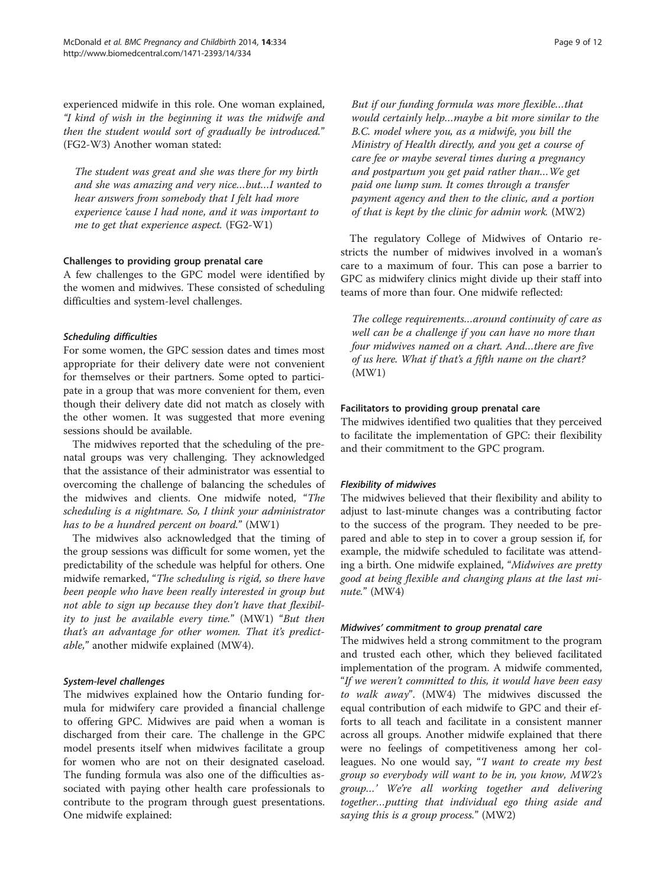experienced midwife in this role. One woman explained, "I kind of wish in the beginning it was the midwife and then the student would sort of gradually be introduced." (FG2-W3) Another woman stated:

The student was great and she was there for my birth and she was amazing and very nice…but…I wanted to hear answers from somebody that I felt had more experience 'cause I had none, and it was important to me to get that experience aspect. (FG2-W1)

#### Challenges to providing group prenatal care

A few challenges to the GPC model were identified by the women and midwives. These consisted of scheduling difficulties and system-level challenges.

#### Scheduling difficulties

For some women, the GPC session dates and times most appropriate for their delivery date were not convenient for themselves or their partners. Some opted to participate in a group that was more convenient for them, even though their delivery date did not match as closely with the other women. It was suggested that more evening sessions should be available.

The midwives reported that the scheduling of the prenatal groups was very challenging. They acknowledged that the assistance of their administrator was essential to overcoming the challenge of balancing the schedules of the midwives and clients. One midwife noted, "The scheduling is a nightmare. So, I think your administrator has to be a hundred percent on board." (MW1)

The midwives also acknowledged that the timing of the group sessions was difficult for some women, yet the predictability of the schedule was helpful for others. One midwife remarked, "The scheduling is rigid, so there have been people who have been really interested in group but not able to sign up because they don't have that flexibility to just be available every time." (MW1) "But then that's an advantage for other women. That it's predictable," another midwife explained (MW4).

#### System-level challenges

The midwives explained how the Ontario funding formula for midwifery care provided a financial challenge to offering GPC. Midwives are paid when a woman is discharged from their care. The challenge in the GPC model presents itself when midwives facilitate a group for women who are not on their designated caseload. The funding formula was also one of the difficulties associated with paying other health care professionals to contribute to the program through guest presentations. One midwife explained:

But if our funding formula was more flexible…that would certainly help…maybe a bit more similar to the B.C. model where you, as a midwife, you bill the Ministry of Health directly, and you get a course of care fee or maybe several times during a pregnancy and postpartum you get paid rather than…We get paid one lump sum. It comes through a transfer payment agency and then to the clinic, and a portion of that is kept by the clinic for admin work. (MW2)

The regulatory College of Midwives of Ontario restricts the number of midwives involved in a woman's care to a maximum of four. This can pose a barrier to GPC as midwifery clinics might divide up their staff into teams of more than four. One midwife reflected:

The college requirements…around continuity of care as well can be a challenge if you can have no more than four midwives named on a chart. And…there are five of us here. What if that's a fifth name on the chart? (MW1)

## Facilitators to providing group prenatal care

The midwives identified two qualities that they perceived to facilitate the implementation of GPC: their flexibility and their commitment to the GPC program.

## Flexibility of midwives

The midwives believed that their flexibility and ability to adjust to last-minute changes was a contributing factor to the success of the program. They needed to be prepared and able to step in to cover a group session if, for example, the midwife scheduled to facilitate was attending a birth. One midwife explained, "Midwives are pretty good at being flexible and changing plans at the last minute." (MW4)

#### Midwives' commitment to group prenatal care

The midwives held a strong commitment to the program and trusted each other, which they believed facilitated implementation of the program. A midwife commented, "If we weren't committed to this, it would have been easy to walk away". (MW4) The midwives discussed the equal contribution of each midwife to GPC and their efforts to all teach and facilitate in a consistent manner across all groups. Another midwife explained that there were no feelings of competitiveness among her colleagues. No one would say, "'I want to create my best group so everybody will want to be in, you know, MW2's group…' We're all working together and delivering together…putting that individual ego thing aside and saying this is a group process." (MW2)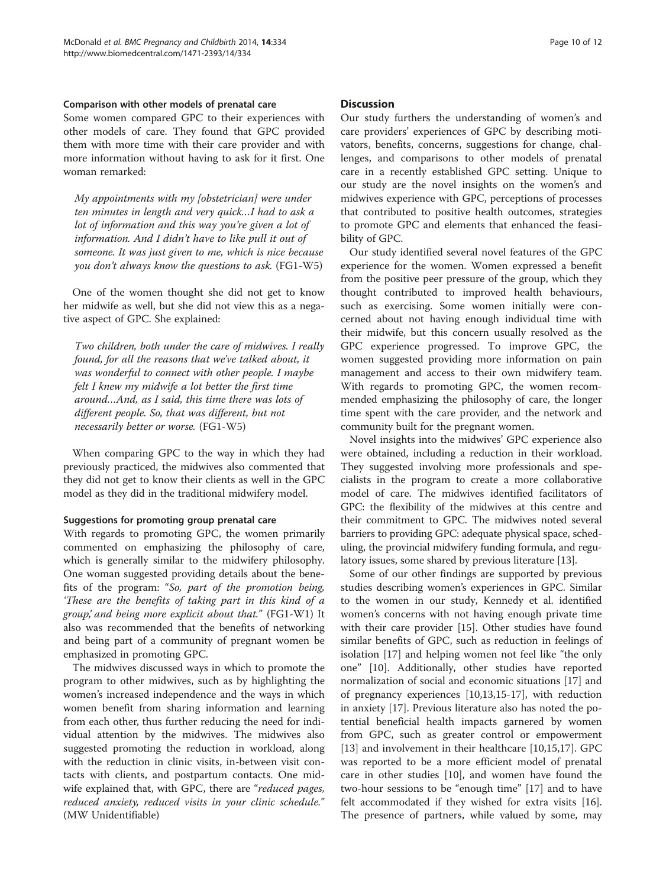#### Comparison with other models of prenatal care

Some women compared GPC to their experiences with other models of care. They found that GPC provided them with more time with their care provider and with more information without having to ask for it first. One woman remarked:

My appointments with my [obstetrician] were under ten minutes in length and very quick…I had to ask a lot of information and this way you're given a lot of information. And I didn't have to like pull it out of someone. It was just given to me, which is nice because you don't always know the questions to ask. (FG1-W5)

One of the women thought she did not get to know her midwife as well, but she did not view this as a negative aspect of GPC. She explained:

Two children, both under the care of midwives. I really found, for all the reasons that we've talked about, it was wonderful to connect with other people. I maybe felt I knew my midwife a lot better the first time around…And, as I said, this time there was lots of different people. So, that was different, but not necessarily better or worse. (FG1-W5)

When comparing GPC to the way in which they had previously practiced, the midwives also commented that they did not get to know their clients as well in the GPC model as they did in the traditional midwifery model.

## Suggestions for promoting group prenatal care

With regards to promoting GPC, the women primarily commented on emphasizing the philosophy of care, which is generally similar to the midwifery philosophy. One woman suggested providing details about the benefits of the program: "So, part of the promotion being, 'These are the benefits of taking part in this kind of a group,' and being more explicit about that." (FG1-W1) It also was recommended that the benefits of networking and being part of a community of pregnant women be emphasized in promoting GPC.

The midwives discussed ways in which to promote the program to other midwives, such as by highlighting the women's increased independence and the ways in which women benefit from sharing information and learning from each other, thus further reducing the need for individual attention by the midwives. The midwives also suggested promoting the reduction in workload, along with the reduction in clinic visits, in-between visit contacts with clients, and postpartum contacts. One midwife explained that, with GPC, there are "reduced pages, reduced anxiety, reduced visits in your clinic schedule." (MW Unidentifiable)

## **Discussion**

Our study furthers the understanding of women's and care providers' experiences of GPC by describing motivators, benefits, concerns, suggestions for change, challenges, and comparisons to other models of prenatal care in a recently established GPC setting. Unique to our study are the novel insights on the women's and midwives experience with GPC, perceptions of processes that contributed to positive health outcomes, strategies to promote GPC and elements that enhanced the feasibility of GPC.

Our study identified several novel features of the GPC experience for the women. Women expressed a benefit from the positive peer pressure of the group, which they thought contributed to improved health behaviours, such as exercising. Some women initially were concerned about not having enough individual time with their midwife, but this concern usually resolved as the GPC experience progressed. To improve GPC, the women suggested providing more information on pain management and access to their own midwifery team. With regards to promoting GPC, the women recommended emphasizing the philosophy of care, the longer time spent with the care provider, and the network and community built for the pregnant women.

Novel insights into the midwives' GPC experience also were obtained, including a reduction in their workload. They suggested involving more professionals and specialists in the program to create a more collaborative model of care. The midwives identified facilitators of GPC: the flexibility of the midwives at this centre and their commitment to GPC. The midwives noted several barriers to providing GPC: adequate physical space, scheduling, the provincial midwifery funding formula, and regulatory issues, some shared by previous literature [[13](#page-11-0)].

Some of our other findings are supported by previous studies describing women's experiences in GPC. Similar to the women in our study, Kennedy et al. identified women's concerns with not having enough private time with their care provider [\[15](#page-11-0)]. Other studies have found similar benefits of GPC, such as reduction in feelings of isolation [\[17\]](#page-11-0) and helping women not feel like "the only one" [\[10](#page-11-0)]. Additionally, other studies have reported normalization of social and economic situations [[17](#page-11-0)] and of pregnancy experiences [[10,13,15](#page-11-0)-[17\]](#page-11-0), with reduction in anxiety [[17\]](#page-11-0). Previous literature also has noted the potential beneficial health impacts garnered by women from GPC, such as greater control or empowerment [[13\]](#page-11-0) and involvement in their healthcare [[10,15,17\]](#page-11-0). GPC was reported to be a more efficient model of prenatal care in other studies [[10](#page-11-0)], and women have found the two-hour sessions to be "enough time" [\[17](#page-11-0)] and to have felt accommodated if they wished for extra visits [\[16](#page-11-0)]. The presence of partners, while valued by some, may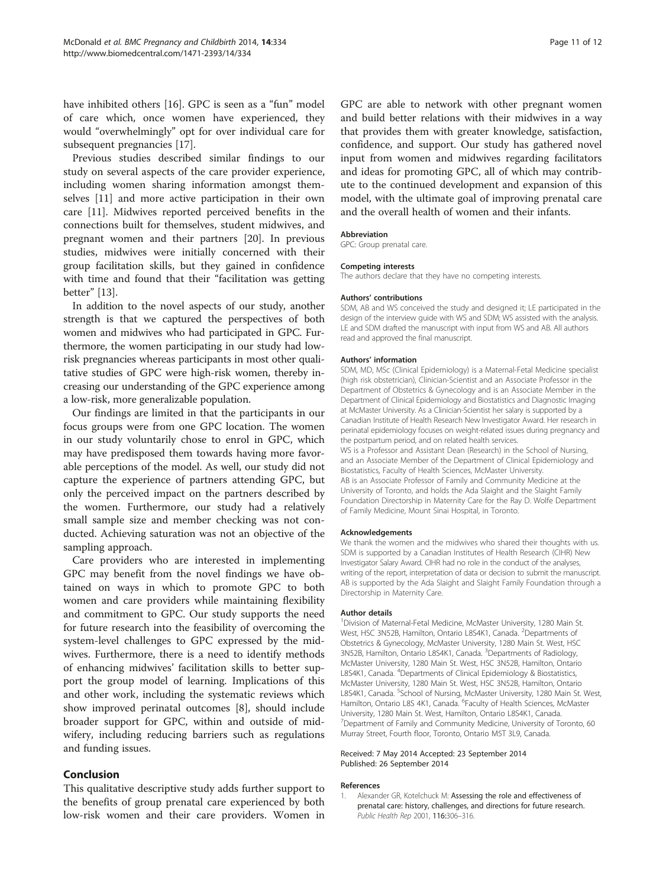<span id="page-10-0"></span>have inhibited others [[16\]](#page-11-0). GPC is seen as a "fun" model of care which, once women have experienced, they would "overwhelmingly" opt for over individual care for subsequent pregnancies [\[17\]](#page-11-0).

Previous studies described similar findings to our study on several aspects of the care provider experience, including women sharing information amongst themselves [\[11\]](#page-11-0) and more active participation in their own care [[11](#page-11-0)]. Midwives reported perceived benefits in the connections built for themselves, student midwives, and pregnant women and their partners [\[20\]](#page-11-0). In previous studies, midwives were initially concerned with their group facilitation skills, but they gained in confidence with time and found that their "facilitation was getting better" [\[13](#page-11-0)].

In addition to the novel aspects of our study, another strength is that we captured the perspectives of both women and midwives who had participated in GPC. Furthermore, the women participating in our study had lowrisk pregnancies whereas participants in most other qualitative studies of GPC were high-risk women, thereby increasing our understanding of the GPC experience among a low-risk, more generalizable population.

Our findings are limited in that the participants in our focus groups were from one GPC location. The women in our study voluntarily chose to enrol in GPC, which may have predisposed them towards having more favorable perceptions of the model. As well, our study did not capture the experience of partners attending GPC, but only the perceived impact on the partners described by the women. Furthermore, our study had a relatively small sample size and member checking was not conducted. Achieving saturation was not an objective of the sampling approach.

Care providers who are interested in implementing GPC may benefit from the novel findings we have obtained on ways in which to promote GPC to both women and care providers while maintaining flexibility and commitment to GPC. Our study supports the need for future research into the feasibility of overcoming the system-level challenges to GPC expressed by the midwives. Furthermore, there is a need to identify methods of enhancing midwives' facilitation skills to better support the group model of learning. Implications of this and other work, including the systematic reviews which show improved perinatal outcomes [[8\]](#page-11-0), should include broader support for GPC, within and outside of midwifery, including reducing barriers such as regulations and funding issues.

## Conclusion

This qualitative descriptive study adds further support to the benefits of group prenatal care experienced by both low-risk women and their care providers. Women in GPC are able to network with other pregnant women and build better relations with their midwives in a way that provides them with greater knowledge, satisfaction, confidence, and support. Our study has gathered novel input from women and midwives regarding facilitators and ideas for promoting GPC, all of which may contribute to the continued development and expansion of this model, with the ultimate goal of improving prenatal care and the overall health of women and their infants.

#### Abbreviation

GPC: Group prenatal care.

#### Competing interests

The authors declare that they have no competing interests.

#### Authors' contributions

SDM, AB and WS conceived the study and designed it; LE participated in the design of the interview guide with WS and SDM; WS assisted with the analysis. LE and SDM drafted the manuscript with input from WS and AB. All authors read and approved the final manuscript.

#### Authors' information

SDM, MD, MSc (Clinical Epidemiology) is a Maternal-Fetal Medicine specialist (high risk obstetrician), Clinician-Scientist and an Associate Professor in the Department of Obstetrics & Gynecology and is an Associate Member in the Department of Clinical Epidemiology and Biostatistics and Diagnostic Imaging at McMaster University. As a Clinician-Scientist her salary is supported by a Canadian Institute of Health Research New Investigator Award. Her research in perinatal epidemiology focuses on weight-related issues during pregnancy and the postpartum period, and on related health services. WS is a Professor and Assistant Dean (Research) in the School of Nursing, and an Associate Member of the Department of Clinical Epidemiology and Biostatistics, Faculty of Health Sciences, McMaster University. AB is an Associate Professor of Family and Community Medicine at the University of Toronto, and holds the Ada Slaight and the Slaight Family Foundation Directorship in Maternity Care for the Ray D. Wolfe Department of Family Medicine, Mount Sinai Hospital, in Toronto.

#### Acknowledgements

We thank the women and the midwives who shared their thoughts with us. SDM is supported by a Canadian Institutes of Health Research (CIHR) New Investigator Salary Award. CIHR had no role in the conduct of the analyses, writing of the report, interpretation of data or decision to submit the manuscript. AB is supported by the Ada Slaight and Slaight Family Foundation through a Directorship in Maternity Care.

#### Author details

<sup>1</sup> Division of Maternal-Fetal Medicine, McMaster University, 1280 Main St. West, HSC 3N52B, Hamilton, Ontario L8S4K1, Canada. <sup>2</sup>Departments of Obstetrics & Gynecology, McMaster University, 1280 Main St. West, HSC 3N52B, Hamilton, Ontario L8S4K1, Canada. <sup>3</sup> Departments of Radiology, McMaster University, 1280 Main St. West, HSC 3N52B, Hamilton, Ontario L8S4K1, Canada. <sup>4</sup>Departments of Clinical Epidemiology & Biostatistics, McMaster University, 1280 Main St. West, HSC 3N52B, Hamilton, Ontario L8S4K1, Canada. <sup>5</sup>School of Nursing, McMaster University, 1280 Main St. West Hamilton, Ontario L8S 4K1, Canada. <sup>6</sup>Faculty of Health Sciences, McMaster University, 1280 Main St. West, Hamilton, Ontario L8S4K1, Canada. <sup>7</sup>Department of Family and Community Medicine, University of Toronto, 60 Murray Street, Fourth floor, Toronto, Ontario M5T 3L9, Canada.

#### Received: 7 May 2014 Accepted: 23 September 2014 Published: 26 September 2014

#### References

1. Alexander GR, Kotelchuck M: Assessing the role and effectiveness of prenatal care: history, challenges, and directions for future research. Public Health Rep 2001, 116:306–316.